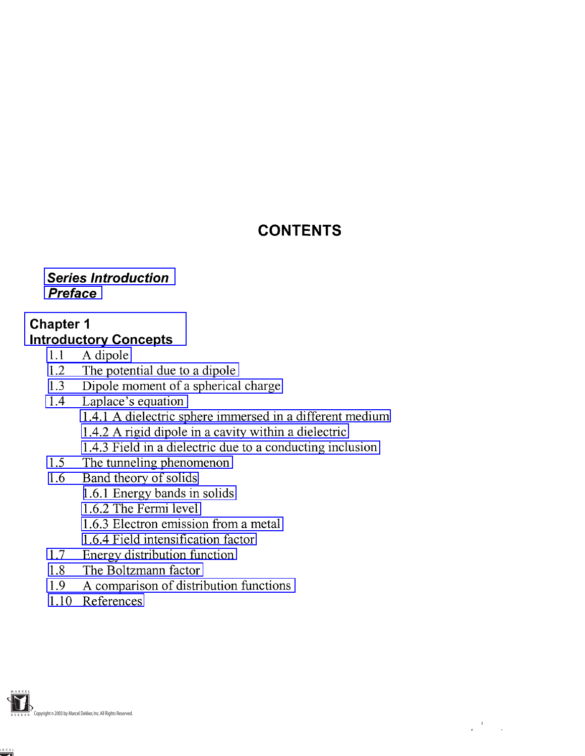# **CONTENTS**

### <span id="page-0-0"></span>**Series Introduction Preface**

### **Chapter 1 Introductory Concepts**

- 1.1 A dipole
- [1.2 The potential due to a dipole](#page-1-0)
- [1.3 Dipole moment of a spherical charge](#page-4-0)
- [1.4 Laplace's equation](#page-6-0)
	- [1.4.1 A dielectric sphere immersed in a different medium](#page-7-0)
	- [1.4.2 A rigid dipole in a cavity within a dielectric](#page-11-0)
	- [1.4.3 Field in a dielectric due to a conducting inclusion](#page-16-0)
- [1.5 The tunneling phenomenon](#page-17-0)
- [1.6 Band theory of solids](#page-19-0)
	- [1.6.1 Energy bands in solids](#page-19-0)
	- [1.6.2 The Fermi level](#page-20-0)
	- [1.6.3 Electron emission from a metal](#page-24-0)
	- [1.6.4 Field intensification factor](#page-27-0)
- [1.7 Energy distribution function](#page-28-0)
- [1.8 The Boltzmann factor](#page-29-0)
- [1.9 A comparison of distribution functions](#page-31-0)
- [1.10 References](#page-33-0)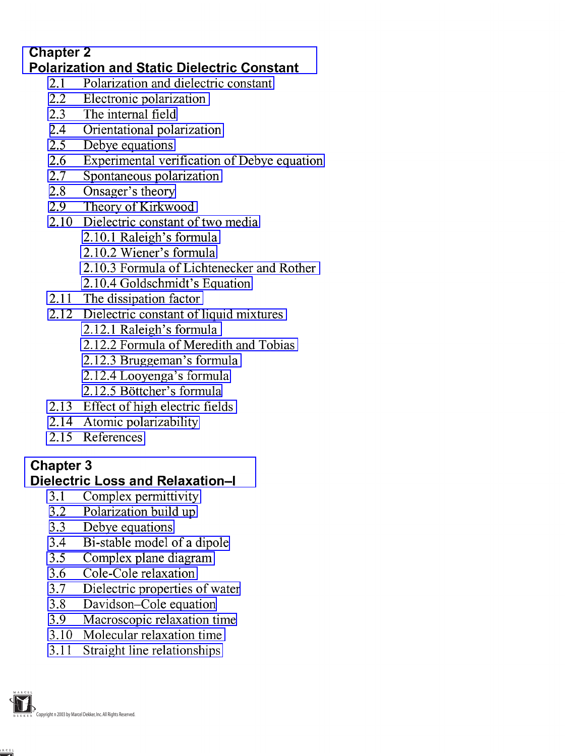### <span id="page-1-0"></span>**Chapter 2 Polarization and Static Dielectric Constant**

- [2.1 Polarization and dielectric constant](#page-0-0)
- [2.2 Electronic polarization](#page-2-0)
- [2.3 The internal field](#page-7-0)
- [2.4 Orientational polarization](#page-14-0)<br>2.5 Debye equations
- Debye equations
- [2.6 Experimental verification of Debye equation](#page-23-0)<br>2.7 Spontaneous polarization
- [2.7 Spontaneous polarization](#page-26-0)
- [2.8 Onsager's theory](#page-28-0)
- [2.9 Theory of Kirkwood](#page-36-0)
- [2.10 Dielectric constant of two media](#page-42-0)
	- [2.10.1 Raleigh's formula](#page-42-0)
	- [2.10.2 Wiener's formula](#page-45-0)
	- [2.10.3 Formula of Lichtenecker and Rother](#page-45-0)
	- [2.10.4 Goldschmidt's Equation](#page-47-0)
- [2.11 The dissipation factor](#page-48-0)
- [2.12 Dielectric constant of liquid mixtures](#page-51-0)
	- [2.12.1 Raleigh's formula](#page-51-0)
	- [2.12.2 Formula of Meredith and Tobias](#page-53-0)
	- 2.12.3 Bruggeman's formula
	- [2.12.4 Looyenga's formula](#page-53-0)
	- [2.12.5 Bottcher's formula](#page-53-0)
- [2.13 Effect of high electric fields](#page-55-0)
- [2.14 Atomic polarizability](#page-56-0)
- [2.15 References](#page-59-0)

# **Chapter 3**

# **Dielectric Loss and Relaxation-!**

- [3.1 Complex permittivity](#page-0-0)<br>3.2 Polarization build up
- Polarization build up
- [3.3 Debye equations](#page-7-0)
- 3.4 Bi-stable model of a dipole
- [3.5 Complex plane diagram](#page-13-0)
- [3.6 Cole-Cole relaxation](#page-16-0)
- [3.7 Dielectric properties of water](#page-20-0)
- [3.8 Davidson-Cole equation](#page-25-0)
- [3.9 Macroscopic relaxation time](#page-29-0)
- [3.10 Molecular relaxation time](#page-33-0)
- [3.11 Straight line relationships](#page-34-0)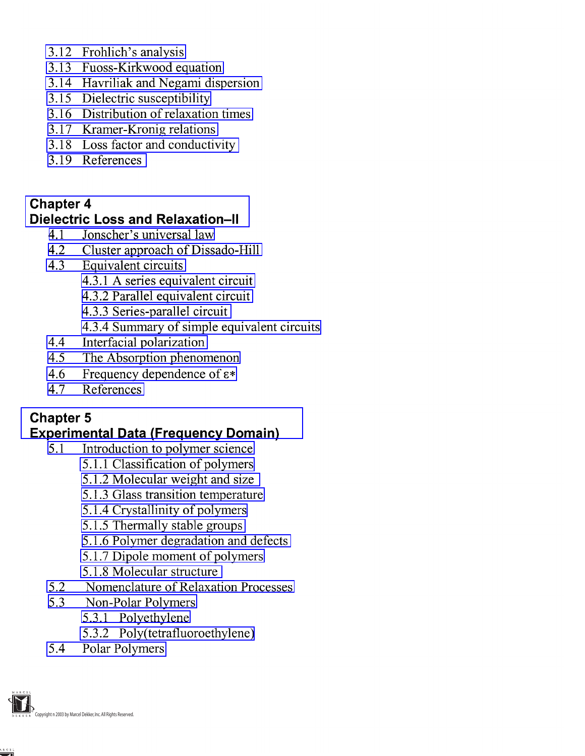- <span id="page-2-0"></span>[3.12 Frohlich's analysis](#page-35-0)
- [3.13 Fuoss-Kirkwood equation](#page-38-0)
- [3.14 Havriliak and Negami dispersion](#page-41-0)
- [3.15 Dielectric susceptibility](#page-46-0)
- [3.16 Distribution of relaxation times](#page-50-0)
- [3.17 Kramer-Kronig relations](#page-58-0)
- [3.18 Loss factor and conductivity](#page-60-0)
- [3.19 References](#page-62-0)

### **Chapter 4 Dielectric Loss and Relaxation-ll**

- 4.1 Jonscher's universal law
- [4.2 Cluster approach of Dissado-Hill](#page-7-0)
- [4.3 Equivalent circuits](#page-9-0)
	- [4.3.1 A series equivalent circuit](#page-9-0)
	- [4.3.2 Parallel equivalent circuit](#page-10-0)
	- [4.3.3 Series-parallel circuit](#page-12-0)
	- [4.3.4 Summary of simple equivalent circuits](#page-14-0)
- [4.4 Interfacial polarization](#page-17-0)
- [4.5 The Absorption phenomenon](#page-25-0)
- 4.6 Frequency dependence of  $\varepsilon$ \*
- [4.7 References](#page-34-0)

# **Chapter 5**

### **Experimental Data (Frequency Domain)**

- [5.1 Introduction to polymer science](#page-5-0)
	- [5.1.1 Classification of polymers](#page-5-0)
	- [5.1.2 Molecular weight and size](#page-8-0)
	- [5.1.3 Glass transition temperature](#page-10-0)
	- [5.1.4 Crystallinity of polymers](#page-11-0)
	- [5.1.5 Thermally stable groups](#page-15-0)
	- [5.1.6 Polymer degradation and defects](#page-15-0)
	- [5.1.7 Dipole moment of polymers](#page-17-0)
	- [5.1.8 Molecular structure](#page-20-0)
- [5.2 Nomenclature of Relaxation Processes](#page-20-0)
- [5.3 Non-Polar Polymers](#page-23-0)
	- [5.3.1 Polyethylene](#page-23-0)
	- [5.3.2 Poly\(tetrafluoroethylene\)](#page-27-0)
- [5.4 Polar Polymers](#page-29-0)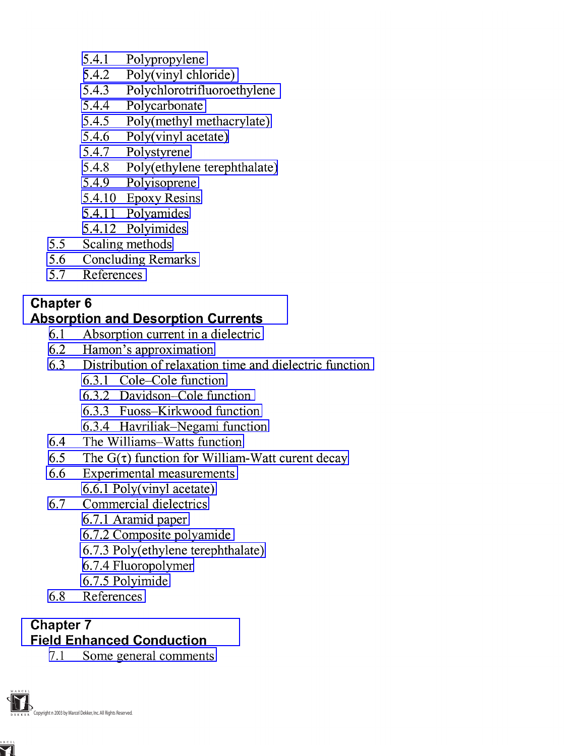- <span id="page-3-0"></span>[5.4.1 Polypropylene](#page-30-0)
- [5.4.2 Poly\(vinyl chloride\)](#page-32-0)
- [5.4.3 Polychlorotrifluoroethylene](#page-38-0)
- [5.4.4 Polycarbonate](#page-42-0)
- [5.4.5 Poly\(methyl methacrylate\)](#page-46-0)
- [5.4.6 Poly\(vinyl acetate\)](#page-51-0)
- [5.4.7 Polystyrene](#page-54-0)
- 5.4.8 Poly(ethylene terephthalate)
- [5.4.9 Polyisoprene](#page-60-0)
- [5.4.10 Epoxy Resins](#page-63-0)
- [5.4.11 Polyamides](#page-64-0)
- [5.4.12 Polyimides](#page-67-0)
- [5.5 Scaling methods](#page-70-0)
- [5.6 Concluding Remarks](#page-72-0)
- [5.7 References](#page-80-0)

### **Absorption and Desorption Currents**

- [6.1 Absorption current in a dielectric](#page-1-0)
- 6.2 Hamon's approximation
- [6.3 Distribution of relaxation time and dielectric function](#page-9-0)
	- [6.3.1 Cole-Cole function](#page-9-0)
	- [6.3.2 Davidson-Cole function](#page-9-0)
	- [6.3.3 Fuoss-Kirkwood function](#page-9-0)
	- [6.3.4 Havriliak-Negami function](#page-10-0)
- [6.4 The Williams-Watts function](#page-13-0)
- 6.5 The  $G(\tau)$  function for William-Watt curent decay
- [6.6 Experimental measurements](#page-23-0) [6.6.1 Poly\(vinyl acetate\)](#page-25-0)
- [6.7 Commercial dielectrics](#page-29-0)
	- [6.7.1 Aramid paper](#page-31-0)
	- [6.7.2 Composite polyamide](#page-36-0)
	- 6.7.3 Poly(ethylene terephthalate)
	- [6.7.4 Fluoropolymer](#page-39-0)
	- [6.7.5 Polyimide](#page-43-0)
- [6.8 References](#page-45-0)

#### **Chapter 7 Field Enhanced Conduction**

[7.1 Some general comments](#page-0-0)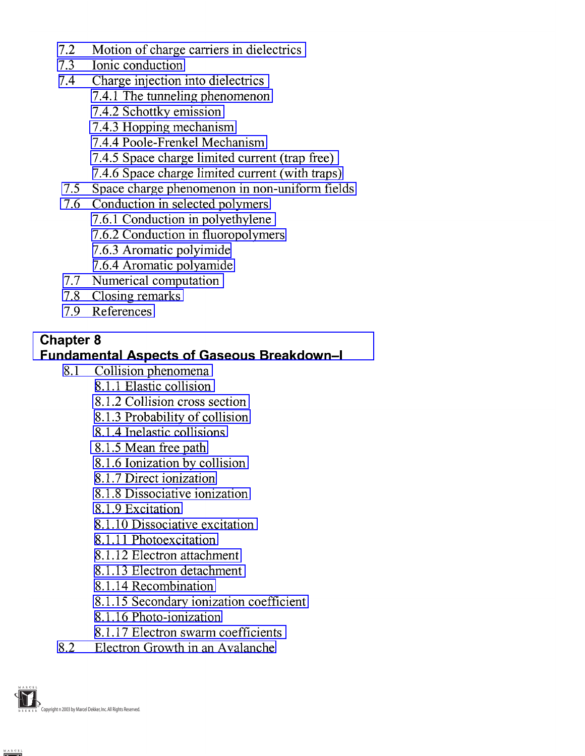- <span id="page-4-0"></span>[7.2 Motion of charge carriers in dielectrics](#page-2-0)
- [7.3 Ionic conduction](#page-8-0)
- [7.4 Charge injection into dielectrics](#page-13-0)
	- [7.4.1 The tunneling phenomenon](#page-13-0)
	- [7.4.2 Schottky emission](#page-15-0)
	- [7.4.3 Hopping mechanism](#page-16-0)
	- [7.4.4 Poole-Frenkel Mechanism](#page-16-0)
	- [7.4.5 Space charge limited current \(trap free\)](#page-24-0)
	- [7.4.6 Space charge limited current \(with traps\)](#page-28-0)
- [7.5 Space charge phenomenon in non-uniform fields](#page-31-0)
- [7.6 Conduction in selected polymers](#page-34-0)
	- [7.6.1 Conduction in polyethylene](#page-36-0)
	- [7.6.2 Conduction in fluoropolymers](#page-37-0)
	- [7.6.3 Aromatic polyimide](#page-42-0)
	- [7.6.4 Aromatic polyamide](#page-45-0)
- [7.7 Numerical computation](#page-47-0)
- [7.8 Closing remarks](#page-50-0)
- [7.9 References](#page-51-0)

### **Fundamental Aspects of Gaseous Breakdown-l**

- [8.1 Collision phenomena](#page-0-0)
	- [8.1.1 Elastic collision](#page-0-0)
	- [8.1.2 Collision cross section](#page-2-0)
	- [8.1.3 Probability of collision](#page-2-0)
	- [8.1.4 Inelastic collisions](#page-3-0)
	- 8.1.5 Mean free path
	- 8.1.6 lonization by collision
	- [8.1.7 Direct ionization](#page-5-0)
	- [8.1.8 Dissociative ionization](#page-6-0)
	- [8.1.9 Excitation](#page-6-0)
	- [8.1.10 Dissociative excitation](#page-7-0)
	- [8.1.11 Photoexcitation](#page-7-0)
	- [8.1.12 Electron attachment](#page-7-0)
	- [8.1.13 Electron detachment](#page-8-0)
	- [8.1.14 Recombination](#page-9-0)
	- [8.1.15 Secondary ionization coefficient](#page-10-0)
	- [8.1.16 Photo-ionization](#page-11-0)
	- [8.1.17 Electron swarm coefficients](#page-11-0)
- [8.2 Electron Growth in an Avalanche](#page-19-0)

Copyright n 2003 by Marcel Dekker, Inc.All Rights Reserved.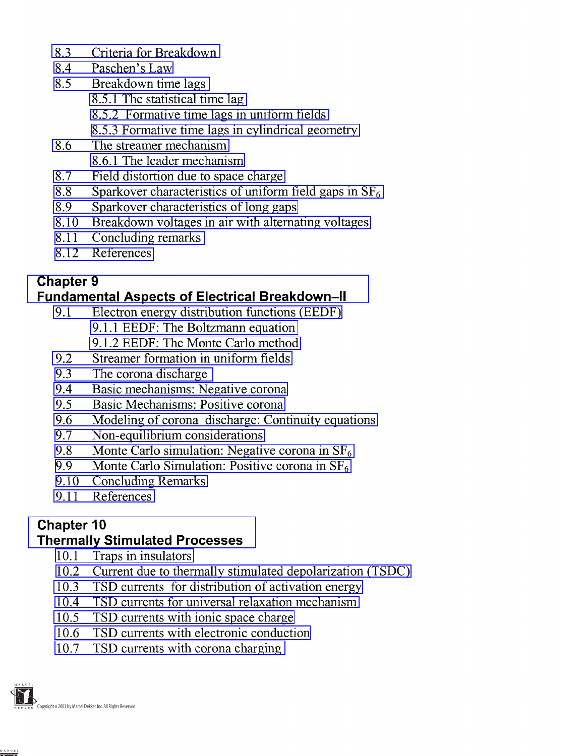- <span id="page-5-0"></span>[8.3 Criteria for Breakdown](#page-25-0)
- [8.4 Paschen's Law](#page-26-0)
- [8.5 Breakdown time lags](#page-29-0)
	- [8.5.1 The statistical time lag](#page-29-0)
	- [8.5.2 Formative time lags in uniform fields](#page-30-0)
	- [8.5.3 Formative time lags in cylindrical geometry](#page-33-0)
- [8.6 The streamer mechanism](#page-39-0)
	- [8.6.1 The leader mechanism](#page-41-0)
- [8.7 Field distortion due to space charge](#page-42-0)
- 8.8 Sparkover characteristics of uniform field gaps in  $SF<sub>6</sub>$
- [8.9 Sparkover characteristics of long gaps](#page-48-0)
- [8.10 Breakdown voltages in air with alternating voltages](#page-50-0)
- [8.11 Concluding remarks](#page-51-0)
- [8.12 References](#page-53-0)

### **Fundamental Aspects of Electrical Breakdown-ll**

- [9.1 Electron energy distribution functions \(EEDF\)](#page-0-0)
	- [9.1.1 EEDF: The Boltzmann equation](#page-1-0)
	- [9.1.2 EEDF: The Monte Carlo method](#page-2-0)
- [9.2 Streamer formation in uniform](#page-7-0) fields
- [9.3 The corona discharge](#page-10-0)
- [9.4 Basic mechanisms: Negative corona](#page-11-0)
- [9.5 Basic Mechanisms: Positive corona](#page-14-0)
- [9.6 Modeling of corona discharge: Continuity equations](#page-16-0)
- [9.7 Non-equilibrium considerations](#page-21-0)
- 9.8 Monte Carlo simulation: Negative corona in  $SF<sub>6</sub>$
- 9.9 Monte Carlo Simulation: Positive corona in  $SF<sub>6</sub>$
- [9.10 Concluding Remarks](#page-33-0)
- [9.11 References](#page-34-0)

# **Chapter 10**

### **Thermally Stimulated Processes**

- [10.1 Traps in insulators](#page-1-0)
- [10.2 Current due to thermally stimulated depolarization \(TSDC\)](#page-8-0)
- [10.3 TSD currents for distribution of activation energy](#page-12-0)
- [10.4 TSD currents for universal relaxation mechanism](#page-14-0)
- [10.5 TSD currents with ionic space charge](#page-15-0)
- [10.6 TSD currents with electronic conduction](#page-16-0)
- [10.7 TSD currents with corona charging](#page-17-0)